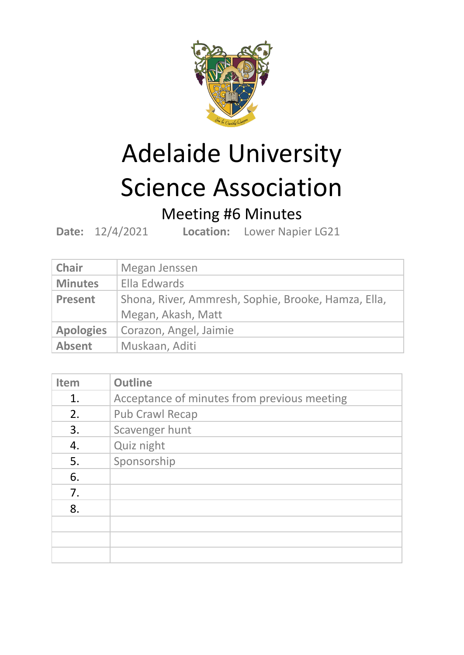

## Adelaide University Science Association

## Meeting #6 Minutes

**Date:** 12/4/2021 **Location:** Lower Napier LG21

| <b>Chair</b>     | Megan Jenssen                                                             |
|------------------|---------------------------------------------------------------------------|
| <b>Minutes</b>   | Ella Edwards                                                              |
| <b>Present</b>   | Shona, River, Ammresh, Sophie, Brooke, Hamza, Ella,<br>Megan, Akash, Matt |
| <b>Apologies</b> | Corazon, Angel, Jaimie                                                    |
| <b>Absent</b>    | Muskaan, Aditi                                                            |

| <b>Item</b> | <b>Outline</b>                              |
|-------------|---------------------------------------------|
| 1.          | Acceptance of minutes from previous meeting |
| 2.          | <b>Pub Crawl Recap</b>                      |
| 3.          | Scavenger hunt                              |
| 4.          | Quiz night                                  |
| 5.          | Sponsorship                                 |
| 6.          |                                             |
| 7.          |                                             |
| 8.          |                                             |
|             |                                             |
|             |                                             |
|             |                                             |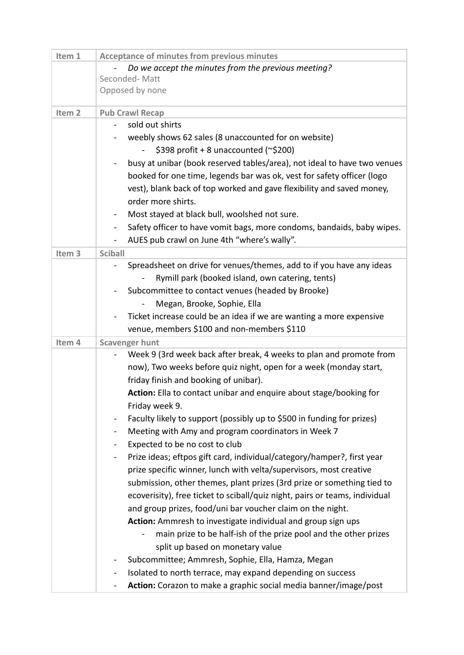| Item 1            | <b>Acceptance of minutes from previous minutes</b>                                       |
|-------------------|------------------------------------------------------------------------------------------|
|                   | Do we accept the minutes from the previous meeting?                                      |
|                   | Seconded-Matt                                                                            |
|                   | Opposed by none                                                                          |
| Item <sub>2</sub> | <b>Pub Crawl Recap</b>                                                                   |
|                   | sold out shirts                                                                          |
|                   | weebly shows 62 sales (8 unaccounted for on website)                                     |
|                   | \$398 profit + 8 unaccounted ( $\approx$ \$200)                                          |
|                   | busy at unibar (book reserved tables/area), not ideal to have two venues<br>۰            |
|                   | booked for one time, legends bar was ok, vest for safety officer (logo                   |
|                   | vest), blank back of top worked and gave flexibility and saved money,                    |
|                   | order more shirts.                                                                       |
|                   | Most stayed at black bull, woolshed not sure.<br>$\blacksquare$                          |
|                   | Safety officer to have vomit bags, more condoms, bandaids, baby wipes.<br>$\blacksquare$ |
|                   | AUES pub crawl on June 4th "where's wally".                                              |
| Item <sub>3</sub> | <b>Sciball</b>                                                                           |
|                   | Spreadsheet on drive for venues/themes, add to if you have any ideas                     |
|                   | Rymill park (booked island, own catering, tents)                                         |
|                   | Subcommittee to contact venues (headed by Brooke)                                        |
|                   | Megan, Brooke, Sophie, Ella                                                              |
|                   | Ticket increase could be an idea if we are wanting a more expensive                      |
|                   | venue, members \$100 and non-members \$110                                               |
| Item 4            | <b>Scavenger hunt</b>                                                                    |
|                   | Week 9 (3rd week back after break, 4 weeks to plan and promote from<br>-                 |
|                   | now), Two weeks before quiz night, open for a week (monday start,                        |
|                   | friday finish and booking of unibar).                                                    |
|                   | Action: Ella to contact unibar and enquire about stage/booking for                       |
|                   | Friday week 9.                                                                           |
|                   | Faculty likely to support (possibly up to \$500 in funding for prizes)<br>$\blacksquare$ |
|                   | Meeting with Amy and program coordinators in Week 7                                      |
|                   | Expected to be no cost to club                                                           |
|                   | Prize ideas; eftpos gift card, individual/category/hamper?, first year                   |
|                   | prize specific winner, lunch with velta/supervisors, most creative                       |
|                   | submission, other themes, plant prizes (3rd prize or something tied to                   |
|                   | ecoverisity), free ticket to sciball/quiz night, pairs or teams, individual              |
|                   | and group prizes, food/uni bar voucher claim on the night.                               |
|                   | Action: Ammresh to investigate individual and group sign ups                             |
|                   | main prize to be half-ish of the prize pool and the other prizes                         |
|                   | split up based on monetary value                                                         |
|                   | Subcommittee; Ammresh, Sophie, Ella, Hamza, Megan                                        |
|                   | Isolated to north terrace, may expand depending on success<br>$\blacksquare$             |
|                   | Action: Corazon to make a graphic social media banner/image/post                         |